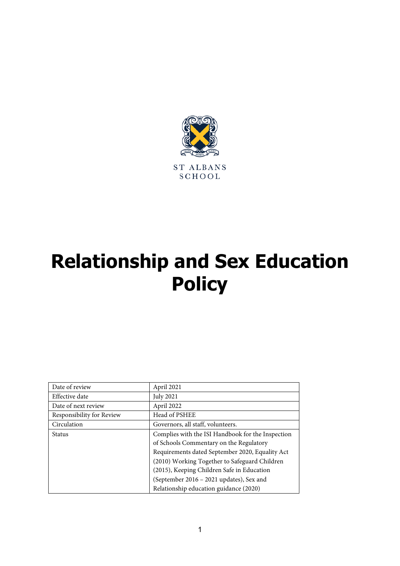

# **Relationship and Sex Education Policy**

| Date of review            | April 2021                                        |
|---------------------------|---------------------------------------------------|
| Effective date            | <b>July 2021</b>                                  |
| Date of next review       | April 2022                                        |
| Responsibility for Review | Head of PSHEE                                     |
| Circulation               | Governors, all staff, volunteers.                 |
| <b>Status</b>             | Complies with the ISI Handbook for the Inspection |
|                           | of Schools Commentary on the Regulatory           |
|                           | Requirements dated September 2020, Equality Act   |
|                           | (2010) Working Together to Safeguard Children     |
|                           | (2015), Keeping Children Safe in Education        |
|                           | (September 2016 - 2021 updates), Sex and          |
|                           | Relationship education guidance (2020)            |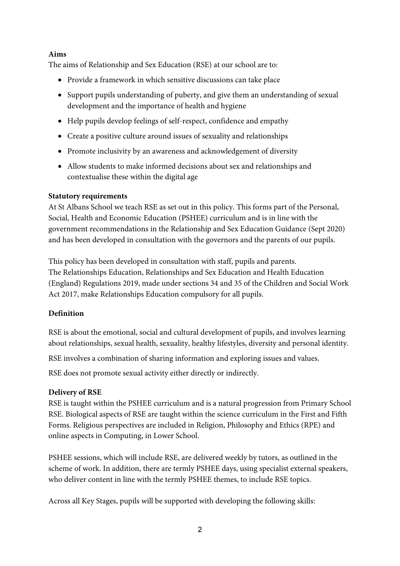## **Aims**

The aims of Relationship and Sex Education (RSE) at our school are to:

- Provide a framework in which sensitive discussions can take place
- Support pupils understanding of puberty, and give them an understanding of sexual development and the importance of health and hygiene
- Help pupils develop feelings of self-respect, confidence and empathy
- Create a positive culture around issues of sexuality and relationships
- Promote inclusivity by an awareness and acknowledgement of diversity
- Allow students to make informed decisions about sex and relationships and contextualise these within the digital age

## **Statutory requirements**

At St Albans School we teach RSE as set out in this policy. This forms part of the Personal, Social, Health and Economic Education (PSHEE) curriculum and is in line with the government recommendations in the Relationship and Sex Education Guidance (Sept 2020) and has been developed in consultation with the governors and the parents of our pupils.

This policy has been developed in consultation with staff, pupils and parents. The Relationships Education, Relationships and Sex Education and Health Education (England) Regulations 2019, made under sections 34 and 35 of the Children and Social Work Act 2017, make Relationships Education compulsory for all pupils.

# **Definition**

RSE is about the emotional, social and cultural development of pupils, and involves learning about relationships, sexual health, sexuality, healthy lifestyles, diversity and personal identity.

RSE involves a combination of sharing information and exploring issues and values.

RSE does not promote sexual activity either directly or indirectly.

# **Delivery of RSE**

RSE is taught within the PSHEE curriculum and is a natural progression from Primary School RSE. Biological aspects of RSE are taught within the science curriculum in the First and Fifth Forms. Religious perspectives are included in Religion, Philosophy and Ethics (RPE) and online aspects in Computing, in Lower School.

PSHEE sessions, which will include RSE, are delivered weekly by tutors, as outlined in the scheme of work. In addition, there are termly PSHEE days, using specialist external speakers, who deliver content in line with the termly PSHEE themes, to include RSE topics.

Across all Key Stages, pupils will be supported with developing the following skills: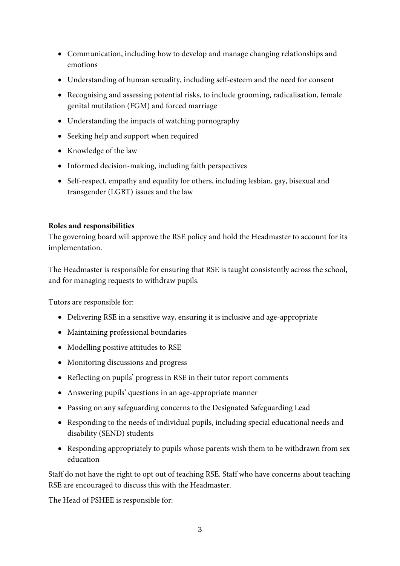- Communication, including how to develop and manage changing relationships and emotions
- Understanding of human sexuality, including self-esteem and the need for consent
- Recognising and assessing potential risks, to include grooming, radicalisation, female genital mutilation (FGM) and forced marriage
- Understanding the impacts of watching pornography
- Seeking help and support when required
- Knowledge of the law
- Informed decision-making, including faith perspectives
- Self-respect, empathy and equality for others, including lesbian, gay, bisexual and transgender (LGBT) issues and the law

### **Roles and responsibilities**

The governing board will approve the RSE policy and hold the Headmaster to account for its implementation.

The Headmaster is responsible for ensuring that RSE is taught consistently across the school, and for managing requests to withdraw pupils.

Tutors are responsible for:

- Delivering RSE in a sensitive way, ensuring it is inclusive and age-appropriate
- Maintaining professional boundaries
- Modelling positive attitudes to RSE
- Monitoring discussions and progress
- Reflecting on pupils' progress in RSE in their tutor report comments
- Answering pupils' questions in an age-appropriate manner
- Passing on any safeguarding concerns to the Designated Safeguarding Lead
- Responding to the needs of individual pupils, including special educational needs and disability (SEND) students
- Responding appropriately to pupils whose parents wish them to be withdrawn from sex education

Staff do not have the right to opt out of teaching RSE. Staff who have concerns about teaching RSE are encouraged to discuss this with the Headmaster.

The Head of PSHEE is responsible for: